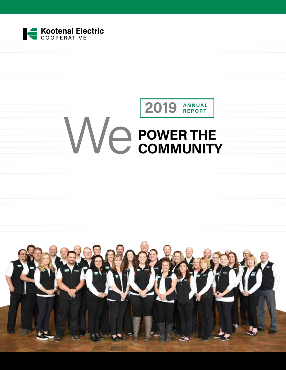

# We **POWER THE COMMUNITY 2019 ANNUAL REPORT**

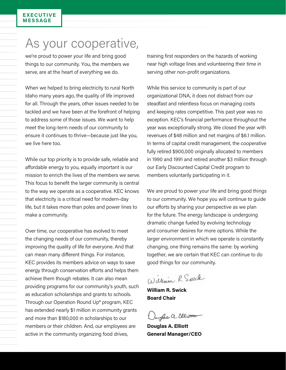#### **EXECUTIVE MESSAGE**

# As your cooperative,

we're proud to power your life and bring good things to our community. You, the members we serve, are at the heart of everything we do.

When we helped to bring electricity to rural North Idaho many years ago, the quality of life improved for all. Through the years, other issues needed to be tackled and we have been at the forefront of helping to address some of those issues. We want to help meet the long-term needs of our community to ensure it continues to thrive—because just like you, we live here too.

While our top priority is to provide safe, reliable and affordable energy to you, equally important is our mission to enrich the lives of the members we serve. This focus to benefit the larger community is central to the way we operate as a cooperative. KEC knows that electricity is a critical need for modern-day life, but it takes more than poles and power lines to make a community.

Over time, our cooperative has evolved to meet the changing needs of our community, thereby improving the quality of life for everyone. And that can mean many different things. For instance, KEC provides its members advice on ways to save energy through conservation efforts and helps them achieve them though rebates. It can also mean providing programs for our community's youth, such as education scholarships and grants to schools. Through our Operation Round Up® program, KEC has extended nearly \$1 million in community grants and more than \$180,000 in scholarships to our members or their children. And, our employees are active in the community organizing food drives,

training first responders on the hazards of working near high voltage lines and volunteering their time in serving other non-profit organizations.

While this service to community is part of our organizational DNA, it does not distract from our steadfast and relentless focus on managing costs and keeping rates competitive. This past year was no exception. KEC's financial performance throughout the year was exceptionally strong. We closed the year with revenues of \$48 million and net margins of \$6.1 million. In terms of capital credit management, the cooperative fully retired \$900,000 originally allocated to members in 1990 and 1991 and retired another \$3 million through our Early Discounted Capital Credit program to members voluntarily participating in it.

We are proud to power your life and bring good things to our community. We hope you will continue to guide our efforts by sharing your perspective as we plan for the future. The energy landscape is undergoing dramatic change fueled by evolving technology and consumer desires for more options. While the larger environment in which we operate is constantly changing, one thing remains the same: by working together, we are certain that KEC can continue to do good things for our community.

William R. Swick

**William R. Swick Board Chair**

aughs a. Elliotto

**Douglas A. Elliott General Manager/CEO**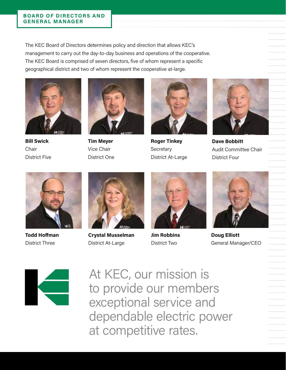The KEC Board of Directors determines policy and direction that allows KEC's management to carry out the day-to-day business and operations of the cooperative. The KEC Board is comprised of seven directors, five of whom represent a specific geographical district and two of whom represent the cooperative at-large.



**Bill Swick Chair** District Five



**Tim Meyer** Vice Chair District One



**Roger Tinkey Secretary** District At-Large



**Dave Bobbitt** Audit Committee Chair District Four



**Todd Hoffman** District Three



**Crystal Musselman** District At-Large



**Jim Robbins** District Two



**Doug Elliott** General Manager/CEO



At KEC, our mission is to provide our members exceptional service and dependable electric power at competitive rates.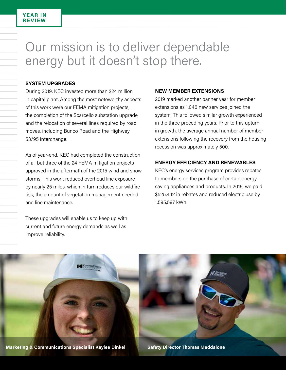#### **YEAR IN REVIEW**

# Our mission is to deliver dependable energy but it doesn't stop there.

#### **SYSTEM UPGRADES**

During 2019, KEC invested more than \$24 million in capital plant. Among the most noteworthy aspects of this work were our FEMA mitigation projects, the completion of the Scarcello substation upgrade and the relocation of several lines required by road moves, including Bunco Road and the Highway 53/95 interchange.

As of year-end, KEC had completed the construction of all but three of the 24 FEMA mitigation projects approved in the aftermath of the 2015 wind and snow storms. This work reduced overhead line exposure by nearly 25 miles, which in turn reduces our wildfire risk, the amount of vegetation management needed and line maintenance.

These upgrades will enable us to keep up with current and future energy demands as well as improve reliability.

#### **NEW MEMBER EXTENSIONS**

2019 marked another banner year for member extensions as 1,046 new services joined the system. This followed similar growth experienced in the three preceding years. Prior to this upturn in growth, the average annual number of member extensions following the recovery from the housing recession was approximately 500.

#### **ENERGY EFFICIENCY AND RENEWABLES**

KEC's energy services program provides rebates to members on the purchase of certain energysaving appliances and products. In 2019, we paid \$525,442 in rebates and reduced electric use by 1,595,597 kWh.

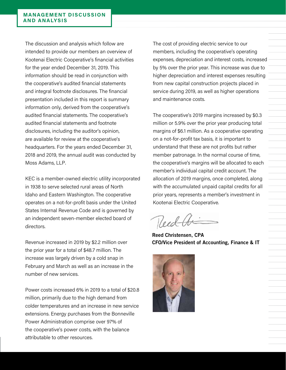The discussion and analysis which follow are intended to provide our members an overview of Kootenai Electric Cooperative's financial activities for the year ended December 31, 2019. This information should be read in conjunction with the cooperative's audited financial statements and integral footnote disclosures. The financial presentation included in this report is summary information only, derived from the cooperative's audited financial statements. The cooperative's audited financial statements and footnote disclosures, including the auditor's opinion, are available for review at the cooperative's headquarters. For the years ended December 31, 2018 and 2019, the annual audit was conducted by Moss Adams, LLP.

KEC is a member-owned electric utility incorporated in 1938 to serve selected rural areas of North Idaho and Eastern Washington. The cooperative operates on a not-for-profit basis under the United States Internal Revenue Code and is governed by an independent seven-member elected board of directors.

Revenue increased in 2019 by \$2.2 million over the prior year for a total of \$48.7 million. The increase was largely driven by a cold snap in February and March as well as an increase in the number of new services.

Power costs increased 6% in 2019 to a total of \$20.8 million, primarily due to the high demand from colder temperatures and an increase in new service extensions. Energy purchases from the Bonneville Power Administration comprise over 97% of the cooperative's power costs, with the balance attributable to other resources.

The cost of providing electric service to our members, including the cooperative's operating expenses, depreciation and interest costs, increased by 5% over the prior year. This increase was due to higher depreciation and interest expenses resulting from new capital construction projects placed in service during 2019, as well as higher operations and maintenance costs.

The cooperative's 2019 margins increased by \$0.3 million or 5.9% over the prior year producing total margins of \$6.1 million. As a cooperative operating on a not-for-profit tax basis, it is important to understand that these are not profits but rather member patronage. In the normal course of time, the cooperative's margins will be allocated to each member's individual capital credit account. The allocation of 2019 margins, once completed, along with the accumulated unpaid capital credits for all prior years, represents a member's investment in Kootenai Electric Cooperative.

Reed A

Reed Christensen, CPA CFO/Vice President of Accounting, Finance & IT

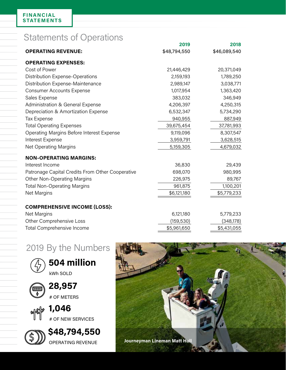## Statements of Operations

|                                                  | 2019         | 2018         |
|--------------------------------------------------|--------------|--------------|
| <b>OPERATING REVENUE:</b>                        | \$48,794,550 | \$46,089,540 |
| <b>OPERATING EXPENSES:</b>                       |              |              |
| Cost of Power                                    | 21,446,429   | 20,371,049   |
| Distribution Expense-Operations                  | 2,159,193    | 1,789,250    |
| Distribution Expense-Maintenance                 | 2,989,147    | 3,038,771    |
| <b>Consumer Accounts Expense</b>                 | 1,017,954    | 1,363,420    |
| Sales Expense                                    | 383,032      | 346,949      |
| Administration & General Expense                 | 4,206,397    | 4,250,315    |
| Depreciation & Amortization Expense              | 6,532,347    | 5,734,290    |
| <b>Tax Expense</b>                               | 940,955      | 887,949      |
| <b>Total Operating Expenses</b>                  | 39,675,454   | 37,781,993   |
| Operating Margins Before Interest Expense        | 9,119,096    | 8,307,547    |
| Interest Expense                                 | 3,959,791    | 3,628,515    |
| <b>Net Operating Margins</b>                     | 5,159,305    | 4,679,032    |
| <b>NON-OPERATING MARGINS:</b>                    |              |              |
| Interest Income                                  | 36,830       | 29,439       |
| Patronage Capital Credits From Other Cooperative | 698,070      | 980,995      |
| <b>Other Non-Operating Margins</b>               | 226,975      | 89,767       |
| <b>Total Non-Operating Margins</b>               | 961,875      | 1,100,201    |
| Net Margins                                      | \$6,121,180  | \$5,779,233  |
| <b>COMPREHENSIVE INCOME (LOSS):</b>              |              |              |
| Net Margins                                      | 6,121,180    | 5,779,233    |
| Other Comprehensive Loss                         | (159, 530)   | (348, 178)   |
| Total Comprehensive Income                       | \$5,961,650  | \$5,431,055  |
|                                                  |              |              |

### 2019 By the Numbers



**504 million** kWh SOLD



**28,957** # OF METERS

**1,046** # OF NEW SERVICES

**\$48,794,550** OPERATING REVENUE

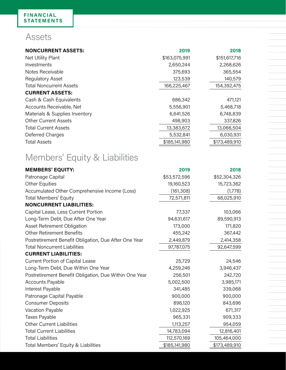### Assets

| <b>NONCURRENT ASSETS:</b>      | 2019          | 2018          |
|--------------------------------|---------------|---------------|
| Net Utility Plant              | \$163,075,991 | \$151,617,716 |
| Investments                    | 2,650,244     | 2,268,626     |
| Notes Receivable               | 375,693       | 365,554       |
| <b>Regulatory Asset</b>        | 123,539       | 140,579       |
| <b>Total Noncurrent Assets</b> | 166,225,467   | 154,392,475   |
| <b>CURRENT ASSETS:</b>         |               |               |
| Cash & Cash Equivalents        | 686,342       | 471,121       |
| Accounts Receivable, Net       | 5,556,901     | 5,468,718     |
| Materials & Supplies Inventory | 6,641,526     | 6,748,839     |
| <b>Other Current Assets</b>    | 498,903       | 337,826       |
| <b>Total Current Assets</b>    | 13,383,672    | 13,066,504    |
| Deferred Charges               | 5,532,841     | 6,030,931     |
| <b>Total Assets</b>            | \$185,141,980 | \$173,489,910 |

# Members' Equity & Liabilities

| <b>MEMBERS' EQUITY:</b>                                | 2019          | 2018          |
|--------------------------------------------------------|---------------|---------------|
| Patronage Capital                                      | \$53,572,596  | \$52,304,326  |
| <b>Other Equities</b>                                  | 19,160,523    | 15,723,362    |
| Accumulated Other Comprehensive Income (Loss)          | (161, 308)    | (1,778)       |
| <b>Total Members' Equity</b>                           | 72,571,811    | 68,025,910    |
| <b>NONCURRENT LIABILITIES:</b>                         |               |               |
| Capital Lease, Less Current Portion                    | 77,337        | 103,066       |
| Long-Term Debt, Due After One Year                     | 94,631,617    | 89,590,913    |
| Asset Retirement Obligation                            | 173,000       | 171,820       |
| <b>Other Retirement Benefits</b>                       | 455,242       | 367,442       |
| Postretirement Benefit Obligation, Due After One Year  | 2,449,879     | 2,414,358     |
| <b>Total Noncurrent Liabilities</b>                    | 97,787,075    | 92,647,599    |
| <b>CURRENT LIABILITIES:</b>                            |               |               |
| <b>Current Portion of Capital Lease</b>                | 25,729        | 24,546        |
| Long-Term Debt, Due Within One Year                    | 4,259,246     | 3,946,437     |
| Postretirement Benefit Obligation, Due Within One Year | 256,501       | 242,720       |
| Accounts Payable                                       | 5,002,500     | 3,985,171     |
| Interest Payable                                       | 341,485       | 339,068       |
| Patronage Capital Payable                              | 900,000       | 900,000       |
| <b>Consumer Deposits</b>                               | 896,120       | 843,696       |
| Vacation Payable                                       | 1,022,925     | 671,317       |
| <b>Taxes Payable</b>                                   | 965,331       | 909,333       |
| <b>Other Current Liabilities</b>                       | 1,113,257     | 954,059       |
| <b>Total Current Liabilities</b>                       | 14,783,094    | 12,816,401    |
| <b>Total Liabilities</b>                               | 112,570,169   | 105,464,000   |
| Total Members' Equity & Liabilities                    | \$185,141,980 | \$173,489,910 |